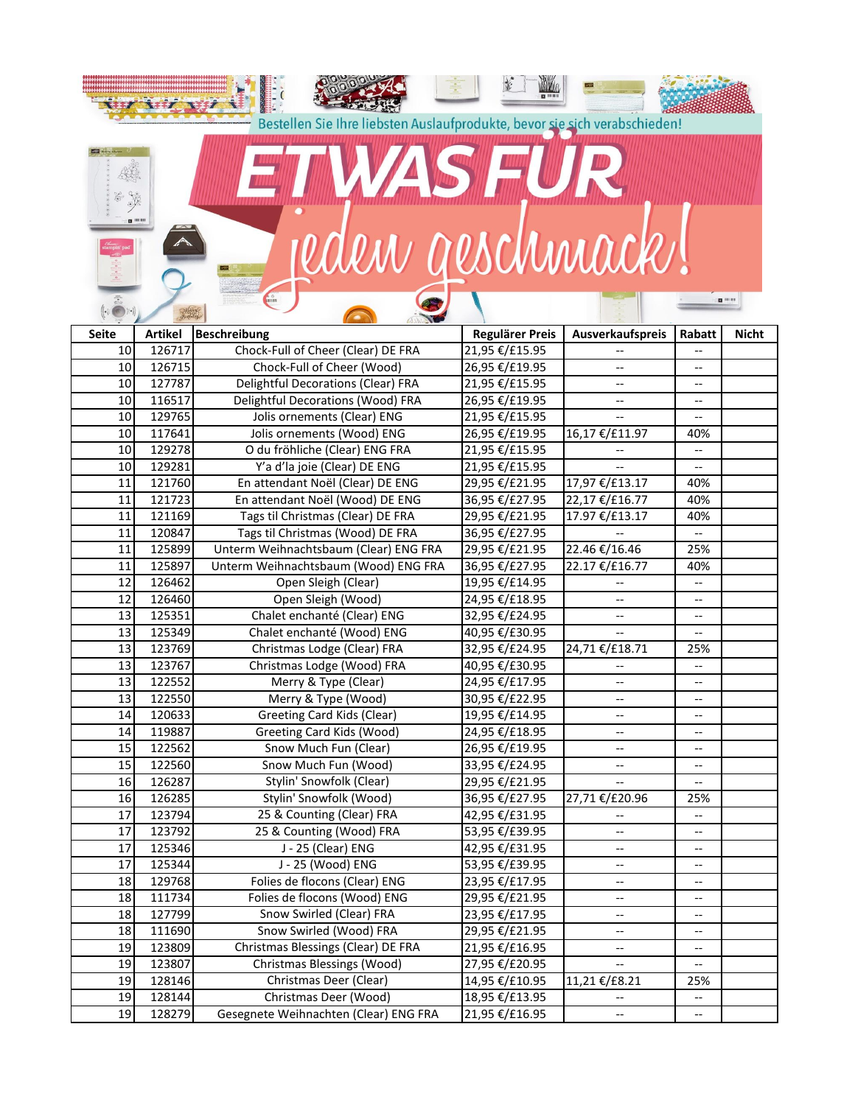|              |                  | Bestellen Sie Ihre liebsten Auslaufprodukte, bevor sie sich verabschieden! |                                  |                                                     |                          |                  |
|--------------|------------------|----------------------------------------------------------------------------|----------------------------------|-----------------------------------------------------|--------------------------|------------------|
|              |                  |                                                                            |                                  |                                                     |                          |                  |
|              |                  | TAYS THE WIPE                                                              |                                  |                                                     |                          |                  |
|              |                  |                                                                            |                                  |                                                     |                          |                  |
|              |                  |                                                                            |                                  |                                                     |                          |                  |
|              | <b>D</b> (11.1)  |                                                                            |                                  |                                                     |                          |                  |
|              |                  |                                                                            |                                  |                                                     |                          |                  |
|              |                  | reden geschmack!                                                           |                                  |                                                     |                          |                  |
|              |                  |                                                                            |                                  |                                                     |                          |                  |
|              |                  |                                                                            |                                  |                                                     |                          | <b>CE 10 111</b> |
|              |                  |                                                                            |                                  |                                                     |                          |                  |
| <b>Seite</b> | <b>Artikel</b>   | <b>Beschreibung</b>                                                        | <b>Regulärer Preis</b>           | Ausverkaufspreis                                    | Rabatt                   | <b>Nicht</b>     |
| 10           | 126717           | Chock-Full of Cheer (Clear) DE FRA                                         | 21,95 €/£15.95                   |                                                     | $-$                      |                  |
| 10           | 126715           | Chock-Full of Cheer (Wood)                                                 | 26,95 €/£19.95                   |                                                     | --                       |                  |
| 10           | 127787           | Delightful Decorations (Clear) FRA                                         | 21,95 €/£15.95                   | --                                                  | --                       |                  |
| 10           | 116517           | Delightful Decorations (Wood) FRA                                          | 26,95 €/£19.95                   |                                                     | --                       |                  |
| 10           | 129765           | Jolis ornements (Clear) ENG                                                | 21,95 €/£15.95                   |                                                     | $-$                      |                  |
| 10           | 117641           | Jolis ornements (Wood) ENG                                                 | 26,95 €/£19.95                   | 16,17 €/£11.97                                      | 40%                      |                  |
| 10           | 129278           | O du fröhliche (Clear) ENG FRA                                             | 21,95 €/£15.95                   |                                                     | $\overline{\phantom{a}}$ |                  |
| 10           | 129281           | Y'a d'la joie (Clear) DE ENG                                               | 21,95 €/£15.95                   |                                                     | $\overline{\phantom{a}}$ |                  |
| 11           | 121760           | En attendant Noël (Clear) DE ENG                                           | 29,95 €/£21.95                   | 17,97 €/£13.17                                      | 40%                      |                  |
| 11           | 121723           | En attendant Noël (Wood) DE ENG                                            | 36,95 €/£27.95                   | 22,17 €/£16.77                                      | 40%                      |                  |
| 11           | 121169           | Tags til Christmas (Clear) DE FRA                                          | 29,95 €/£21.95                   | 17.97 €/£13.17                                      | 40%                      |                  |
| 11           | 120847           | Tags til Christmas (Wood) DE FRA                                           | 36,95 €/£27.95                   |                                                     | $\overline{\phantom{a}}$ |                  |
| 11<br>11     | 125899<br>125897 | Unterm Weihnachtsbaum (Clear) ENG FRA                                      | 29,95 €/£21.95                   | 22.46 €/16.46                                       | 25%                      |                  |
| 12           | 126462           | Unterm Weihnachtsbaum (Wood) ENG FRA<br>Open Sleigh (Clear)                | 36,95 €/£27.95<br>19,95 €/£14.95 | 22.17 €/£16.77                                      | 40%<br>$-\, -$           |                  |
| 12           | 126460           | Open Sleigh (Wood)                                                         | 24,95 €/£18.95                   | $\overline{\phantom{a}}$                            | $-$                      |                  |
| 13           | 125351           | Chalet enchanté (Clear) ENG                                                | 32,95 €/£24.95                   | --                                                  | --                       |                  |
| 13           | 125349           | Chalet enchanté (Wood) ENG                                                 | 40,95 €/£30.95                   | $\overline{\phantom{m}}$                            | $\overline{\phantom{a}}$ |                  |
| 13           | 123769           | Christmas Lodge (Clear) FRA                                                | 32,95 €/£24.95                   | 24,71 €/£18.71                                      | 25%                      |                  |
| 13           | 123767           | Christmas Lodge (Wood) FRA                                                 | 40,95 €/£30.95                   |                                                     | $\overline{\phantom{a}}$ |                  |
| 13           | 122552           | Merry & Type (Clear)                                                       | 24,95 €/£17.95                   |                                                     | --                       |                  |
| 13           | 122550           | Merry & Type (Wood)                                                        | 30,95 €/£22.95                   | $\hspace{0.05cm} \dashrightarrow$                   | $\overline{\phantom{a}}$ |                  |
| 14           | 120633           | Greeting Card Kids (Clear)                                                 | 19,95 €/£14.95                   | $\overline{\phantom{m}}$                            | $\overline{\phantom{a}}$ |                  |
| 14           | 119887           | Greeting Card Kids (Wood)                                                  | 24,95 €/£18.95                   | $\overline{\phantom{m}}$                            | $-$                      |                  |
| 15           | 122562           | Snow Much Fun (Clear)                                                      | 26,95 €/£19.95                   | $\hspace{0.05cm} -\hspace{0.05cm} -\hspace{0.05cm}$ | --                       |                  |
| 15<br>16     | 122560<br>126287 | Snow Much Fun (Wood)<br>Stylin' Snowfolk (Clear)                           | 33,95 €/£24.95                   | $\overline{\phantom{a}}$                            | $-$                      |                  |
| 16           | 126285           | Stylin' Snowfolk (Wood)                                                    | 29,95 €/£21.95<br>36,95 €/£27.95 | 27,71 €/£20.96                                      | 25%                      |                  |
| 17           | 123794           | 25 & Counting (Clear) FRA                                                  | 42,95 €/£31.95                   |                                                     | --                       |                  |
| 17           | 123792           | 25 & Counting (Wood) FRA                                                   | 53,95 €/£39.95                   | $\hspace{0.05cm} -\hspace{0.05cm} -\hspace{0.05cm}$ | --                       |                  |
| 17           | 125346           | J - 25 (Clear) ENG                                                         | 42,95 €/£31.95                   | --                                                  | --                       |                  |
| 17           | 125344           | J - 25 (Wood) ENG                                                          | 53,95 €/£39.95                   | $\hspace{0.05cm} -\hspace{0.05cm} -\hspace{0.05cm}$ | --                       |                  |
| 18           | 129768           | Folies de flocons (Clear) ENG                                              | 23,95 €/£17.95                   | $\overline{\phantom{a}}$                            | --                       |                  |
| 18           | 111734           | Folies de flocons (Wood) ENG                                               | 29,95 €/£21.95                   | $\overline{\phantom{a}}$                            | --                       |                  |
| 18           | 127799           | Snow Swirled (Clear) FRA                                                   | 23,95 €/£17.95                   | $\hspace{0.05cm} -\hspace{0.05cm} -\hspace{0.05cm}$ | --                       |                  |
| 18           | 111690           | Snow Swirled (Wood) FRA                                                    | 29,95 €/£21.95                   |                                                     | --                       |                  |
| 19           | 123809           | Christmas Blessings (Clear) DE FRA                                         | 21,95 €/£16.95                   | --                                                  | --                       |                  |
| 19           | 123807           | Christmas Blessings (Wood)                                                 | 27,95 €/£20.95                   |                                                     |                          |                  |
| 19           | 128146           | Christmas Deer (Clear)                                                     | 14,95 €/£10.95                   | 11,21 €/£8.21                                       | 25%                      |                  |
| 19           | 128144           | Christmas Deer (Wood)                                                      | 18,95 €/£13.95                   |                                                     |                          |                  |
| 19           | 128279           | Gesegnete Weihnachten (Clear) ENG FRA                                      | 21,95 €/£16.95                   | --                                                  | --                       |                  |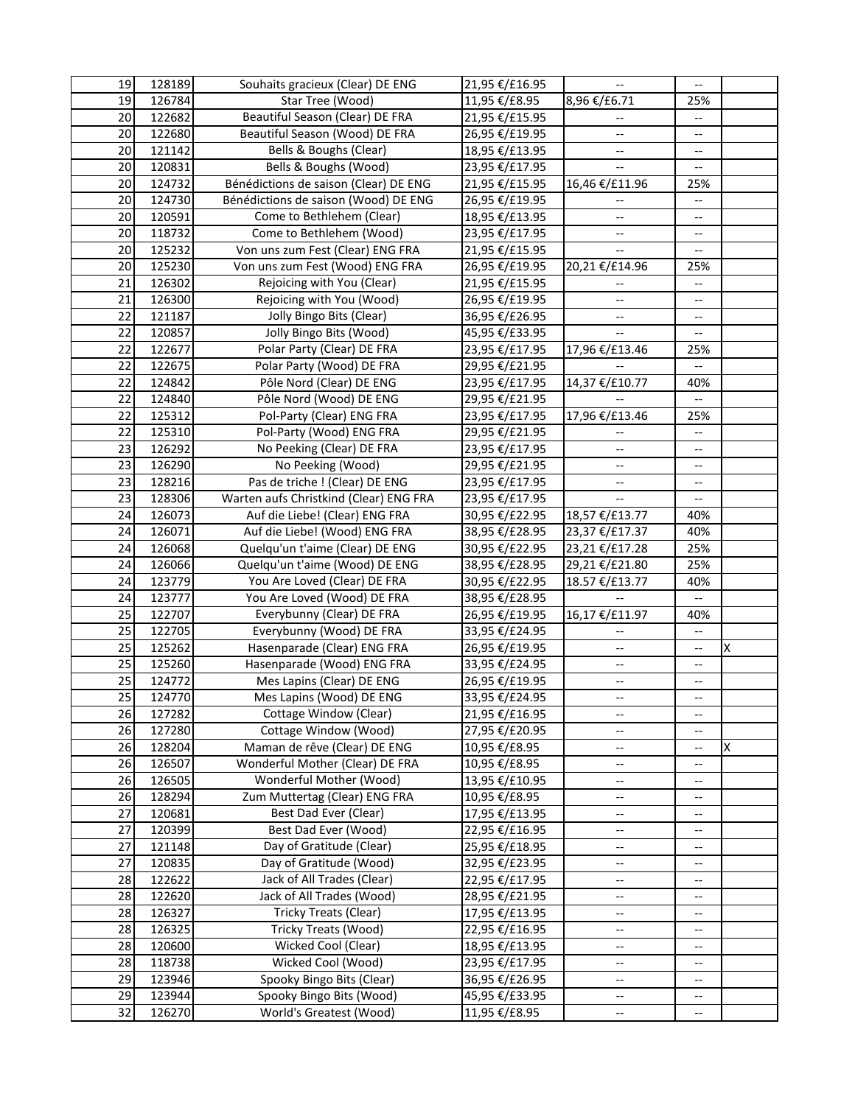| 19                    | 128189           | Souhaits gracieux (Clear) DE ENG                                | 21,95 €/£16.95                   | $\overline{\phantom{a}}$                            | $- -$                    |   |
|-----------------------|------------------|-----------------------------------------------------------------|----------------------------------|-----------------------------------------------------|--------------------------|---|
| 19                    | 126784           | Star Tree (Wood)                                                | 11,95 €/£8.95                    | 8,96 €/£6.71                                        | 25%                      |   |
| 20                    | 122682           | Beautiful Season (Clear) DE FRA                                 | 21,95 €/£15.95                   |                                                     | --                       |   |
| 20                    | 122680           | Beautiful Season (Wood) DE FRA                                  | 26,95 €/£19.95                   | $-$                                                 | --                       |   |
| 20                    | 121142           | Bells & Boughs (Clear)                                          | 18,95 €/£13.95                   | --                                                  | --                       |   |
| 20                    | 120831           | Bells & Boughs (Wood)                                           | 23,95 €/£17.95                   |                                                     | --                       |   |
| 20                    | 124732           | Bénédictions de saison (Clear) DE ENG                           | 21,95 €/£15.95                   | 16,46 €/£11.96                                      | 25%                      |   |
| 20                    | 124730           | Bénédictions de saison (Wood) DE ENG                            | 26,95 €/£19.95                   |                                                     | $-\, -$                  |   |
| 20                    | 120591           | Come to Bethlehem (Clear)                                       | 18,95 €/£13.95                   | $\overline{\phantom{a}}$                            | --                       |   |
| 20                    | 118732           | Come to Bethlehem (Wood)                                        | 23,95 €/£17.95                   | $\overline{\phantom{a}}$                            | --                       |   |
| 20                    | 125232           | Von uns zum Fest (Clear) ENG FRA                                | 21,95 €/£15.95                   |                                                     | --                       |   |
| 20                    | 125230           | Von uns zum Fest (Wood) ENG FRA                                 | 26,95 €/£19.95                   | 20,21 €/£14.96                                      | 25%                      |   |
| 21                    | 126302           | Rejoicing with You (Clear)                                      | 21,95 €/£15.95                   |                                                     | $\overline{\phantom{a}}$ |   |
| 21                    | 126300           | Rejoicing with You (Wood)                                       | 26,95 €/£19.95                   | $\overline{a}$                                      | $-$                      |   |
| 22                    | 121187           | Jolly Bingo Bits (Clear)                                        | 36,95 €/£26.95                   | --                                                  | --                       |   |
| 22                    | 120857           | Jolly Bingo Bits (Wood)                                         | 45,95 €/£33.95                   |                                                     |                          |   |
| 22                    | 122677           | Polar Party (Clear) DE FRA                                      | 23,95 €/£17.95                   | 17,96 €/£13.46                                      | 25%                      |   |
| 22                    | 122675           | Polar Party (Wood) DE FRA                                       | 29,95 €/£21.95                   |                                                     |                          |   |
| 22                    | 124842           | Pôle Nord (Clear) DE ENG                                        | 23,95 €/£17.95                   | 14,37 €/£10.77                                      | 40%                      |   |
| 22                    | 124840           | Pôle Nord (Wood) DE ENG                                         | 29,95 €/£21.95                   |                                                     | --                       |   |
| 22                    | 125312           | Pol-Party (Clear) ENG FRA                                       | 23,95 €/£17.95                   | 17,96 €/£13.46                                      | 25%                      |   |
| 22                    | 125310           | Pol-Party (Wood) ENG FRA                                        | 29,95 €/£21.95                   |                                                     | $\overline{\phantom{a}}$ |   |
| 23                    | 126292           | No Peeking (Clear) DE FRA                                       | 23,95 €/£17.95                   | u.                                                  | --                       |   |
| 23                    | 126290           | No Peeking (Wood)                                               | 29,95 €/£21.95                   | $\overline{\phantom{a}}$                            | $\overline{\phantom{a}}$ |   |
| 23                    | 128216           | Pas de triche ! (Clear) DE ENG                                  | 23,95 €/£17.95                   | --                                                  | $-$                      |   |
| 23                    | 128306           | Warten aufs Christkind (Clear) ENG FRA                          | 23,95 €/£17.95                   | --                                                  | --                       |   |
| 24                    | 126073           | Auf die Liebe! (Clear) ENG FRA                                  | 30,95 €/£22.95                   | 18,57 €/£13.77                                      | 40%                      |   |
| 24                    | 126071           | Auf die Liebe! (Wood) ENG FRA                                   | 38,95 €/£28.95                   | 23,37 €/£17.37                                      | 40%                      |   |
| 24                    | 126068           | Quelqu'un t'aime (Clear) DE ENG                                 | 30,95 €/£22.95                   | 23,21 €/£17.28                                      | 25%                      |   |
| 24                    | 126066           | Quelqu'un t'aime (Wood) DE ENG                                  | 38,95 €/£28.95                   | 29,21 €/£21.80                                      | 25%                      |   |
| 24                    | 123779           | You Are Loved (Clear) DE FRA                                    | 30,95 €/£22.95                   | 18.57 €/£13.77                                      | 40%                      |   |
| 24                    | 123777           | You Are Loved (Wood) DE FRA                                     | 38,95 €/£28.95                   |                                                     | $\overline{\phantom{a}}$ |   |
| 25                    | 122707           | Everybunny (Clear) DE FRA                                       | 26,95 €/£19.95                   | 16,17 €/£11.97                                      | 40%                      |   |
| 25                    | 122705           | Everybunny (Wood) DE FRA                                        | 33,95 €/£24.95                   | $-$                                                 | $\overline{\phantom{a}}$ |   |
| 25<br>25              | 125262           | Hasenparade (Clear) ENG FRA                                     | 26,95 €/£19.95                   | $\overline{\phantom{a}}$                            | $-$                      | X |
|                       | 125260           | Hasenparade (Wood) ENG FRA                                      | 33,95 €/£24.95                   | $\overline{\phantom{a}}$                            | --                       |   |
| 25<br>$2\overline{5}$ | 124772           | Mes Lapins (Clear) DE ENG                                       | 26,95 €/£19.95<br>33.95 €/£24.95 | $\overline{\phantom{a}}$                            | --                       |   |
|                       | 124770           | Mes Lapins (Wood) DE ENG                                        |                                  | --                                                  | --                       |   |
| 26                    | 127282           | Cottage Window (Clear)                                          | 21,95 €/£16.95                   | $\overline{\phantom{a}}$                            | --                       |   |
| 26                    | 127280           | Cottage Window (Wood)                                           | 27,95 €/£20.95                   | $\overline{\phantom{a}}$                            | --                       |   |
| 26<br>26              | 128204           | Maman de rêve (Clear) DE ENG<br>Wonderful Mother (Clear) DE FRA | 10,95 €/£8.95                    | $\hspace{0.05cm} \dashrightarrow$                   | --                       | X |
| 26                    | 126507           | Wonderful Mother (Wood)                                         | 10,95 €/£8.95                    | $\hspace{0.05cm} \dashrightarrow$                   | --                       |   |
| 26                    | 126505<br>128294 | Zum Muttertag (Clear) ENG FRA                                   | 13,95 €/£10.95<br>10,95 €/£8.95  | $\hspace{0.05cm} \dashrightarrow$                   | $-\, -$<br>--            |   |
| 27                    | 120681           | Best Dad Ever (Clear)                                           | 17,95 €/£13.95                   | --                                                  | --                       |   |
| 27                    | 120399           | Best Dad Ever (Wood)                                            | 22,95 €/£16.95                   | --<br>$\overline{\phantom{a}}$                      | --                       |   |
| 27                    | 121148           | Day of Gratitude (Clear)                                        | 25,95 €/£18.95                   | $\hspace{0.05cm} \dashrightarrow$                   | --                       |   |
| 27                    | 120835           | Day of Gratitude (Wood)                                         | 32,95 €/£23.95                   | $\hspace{0.05cm} -\hspace{0.05cm} -\hspace{0.05cm}$ | $\overline{\phantom{a}}$ |   |
| 28                    | 122622           | Jack of All Trades (Clear)                                      | 22,95 €/£17.95                   | $\hspace{0.05cm} \dashrightarrow$                   | --                       |   |
| 28                    | 122620           | Jack of All Trades (Wood)                                       | 28,95 €/£21.95                   | $\overline{\phantom{a}}$                            | $\overline{\phantom{a}}$ |   |
| 28                    | 126327           | Tricky Treats (Clear)                                           | 17,95 €/£13.95                   | --                                                  | --                       |   |
| 28                    | 126325           | Tricky Treats (Wood)                                            | 22,95 €/£16.95                   | --                                                  | --                       |   |
| 28                    | 120600           | Wicked Cool (Clear)                                             | 18,95 €/£13.95                   | --                                                  | $-$                      |   |
| 28                    | 118738           | Wicked Cool (Wood)                                              | 23,95 €/£17.95                   | --                                                  | --                       |   |
| 29                    | 123946           | Spooky Bingo Bits (Clear)                                       | 36,95 €/£26.95                   | --                                                  | --                       |   |
| 29                    | 123944           | Spooky Bingo Bits (Wood)                                        | 45,95 €/£33.95                   | --                                                  | --                       |   |
| 32                    | 126270           | World's Greatest (Wood)                                         | 11,95 €/£8.95                    | --                                                  | --                       |   |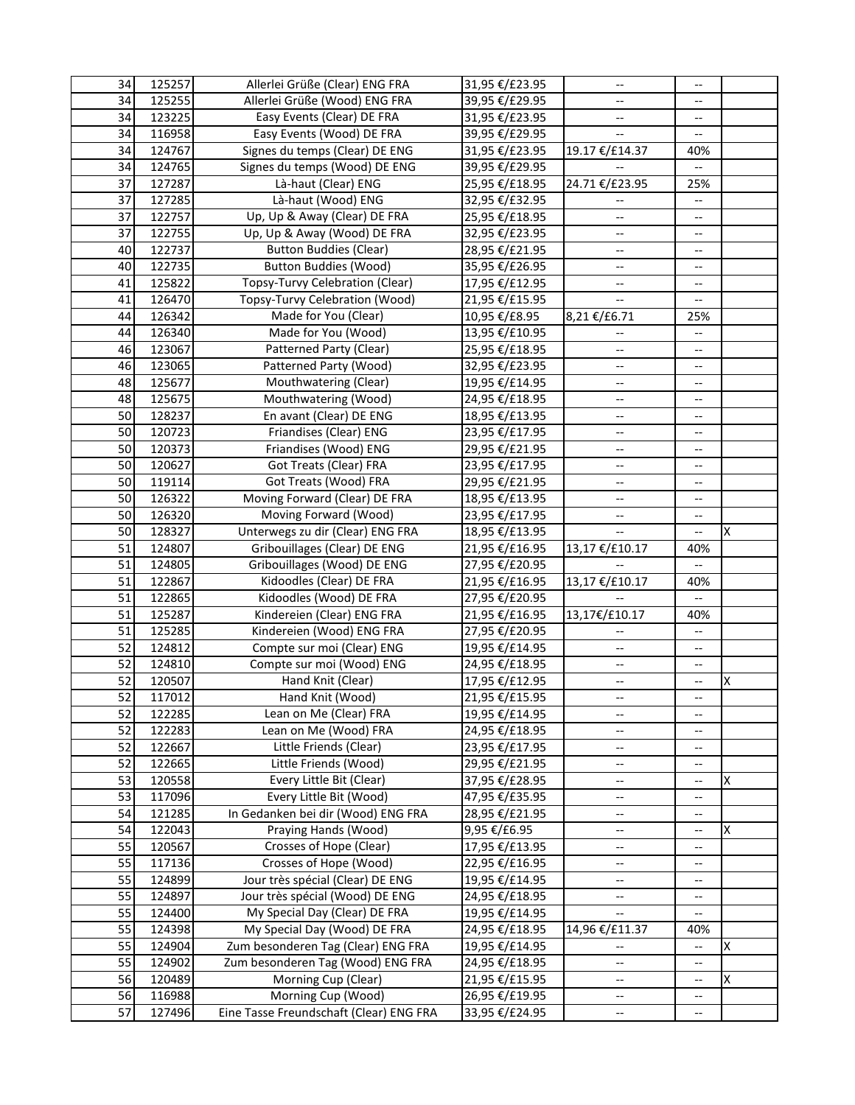| 34       | 125257           | Allerlei Grüße (Clear) ENG FRA                                   | 31,95 €/£23.95                   | $\overline{\phantom{a}}$                             | $\overline{\phantom{a}}$       |   |
|----------|------------------|------------------------------------------------------------------|----------------------------------|------------------------------------------------------|--------------------------------|---|
| 34       | 125255           | Allerlei Grüße (Wood) ENG FRA                                    | 39,95 €/£29.95                   | --                                                   | --                             |   |
| 34       | 123225           | Easy Events (Clear) DE FRA                                       | 31,95 €/£23.95                   | --                                                   | --                             |   |
| 34       | 116958           | Easy Events (Wood) DE FRA                                        | 39,95 €/£29.95                   | $\overline{\phantom{m}}$                             | $\overline{\phantom{a}}$       |   |
| 34       | 124767           | Signes du temps (Clear) DE ENG                                   | 31,95 €/£23.95                   | 19.17 €/£14.37                                       | 40%                            |   |
| 34       | 124765           | Signes du temps (Wood) DE ENG                                    | 39,95 €/£29.95                   |                                                      | $-$                            |   |
| 37       | 127287           | Là-haut (Clear) ENG                                              | 25,95 €/£18.95                   | 24.71 €/£23.95                                       | 25%                            |   |
| 37       | 127285           | Là-haut (Wood) ENG                                               | 32,95 €/£32.95                   | $-$                                                  | --                             |   |
| 37       | 122757           | Up, Up & Away (Clear) DE FRA                                     | 25,95 €/£18.95                   | --                                                   | --                             |   |
| 37       | 122755           | Up, Up & Away (Wood) DE FRA                                      | 32,95 €/£23.95                   | --                                                   | --                             |   |
| 40       | 122737           | <b>Button Buddies (Clear)</b>                                    | 28,95 €/£21.95                   | --                                                   | --                             |   |
| 40       | 122735           | <b>Button Buddies (Wood)</b>                                     | 35,95 €/£26.95                   | --                                                   | --                             |   |
| 41       | 125822           | Topsy-Turvy Celebration (Clear)                                  | 17,95 €/£12.95                   | --                                                   | --                             |   |
| 41       | 126470           | Topsy-Turvy Celebration (Wood)                                   | 21,95 €/£15.95                   | $-$                                                  | --                             |   |
| 44       | 126342           | Made for You (Clear)                                             | 10,95 €/£8.95                    | 8,21 €/£6.71                                         | 25%                            |   |
| 44       | 126340           | Made for You (Wood)                                              | 13,95 €/£10.95                   |                                                      | $-$                            |   |
| 46       | 123067           | Patterned Party (Clear)                                          | 25,95 €/£18.95                   | $\overline{\phantom{a}}$                             | --                             |   |
| 46       | 123065           | Patterned Party (Wood)                                           | 32,95 €/£23.95                   | --                                                   | --                             |   |
| 48       | 125677           | Mouthwatering (Clear)                                            | 19,95 €/£14.95                   | $-$                                                  | --                             |   |
| 48       | 125675           | Mouthwatering (Wood)                                             | 24,95 €/£18.95                   | --                                                   | --                             |   |
| 50       | 128237           | En avant (Clear) DE ENG                                          | 18,95 €/£13.95                   | $\overline{\phantom{a}}$                             | $\overline{\phantom{a}}$       |   |
| 50       | 120723           | Friandises (Clear) ENG                                           | 23,95 €/£17.95                   | --                                                   | --                             |   |
| 50       | 120373           | Friandises (Wood) ENG                                            | 29,95 €/£21.95                   | $\overline{\phantom{a}}$                             | --                             |   |
| 50       | 120627           | Got Treats (Clear) FRA                                           | 23,95 €/£17.95                   | $\overline{\phantom{a}}$                             | --                             |   |
| 50       | 119114           | Got Treats (Wood) FRA                                            | 29,95 €/£21.95                   | $\overline{\phantom{a}}$                             | $-$                            |   |
| 50       | 126322           | Moving Forward (Clear) DE FRA                                    | 18,95 €/£13.95                   | --                                                   | --                             |   |
| 50       | 126320           | Moving Forward (Wood)                                            | 23,95 €/£17.95                   | $\overline{\phantom{a}}$                             | $-$                            |   |
| 50       | 128327           | Unterwegs zu dir (Clear) ENG FRA                                 | 18,95 €/£13.95                   | Щ,                                                   | --                             | X |
| 51       | 124807           | Gribouillages (Clear) DE ENG                                     | 21,95 €/£16.95                   | 13,17 €/£10.17                                       | 40%                            |   |
| 51       | 124805           | Gribouillages (Wood) DE ENG                                      | 27,95 €/£20.95                   |                                                      | --                             |   |
| 51       | 122867           | Kidoodles (Clear) DE FRA                                         | 21,95 €/£16.95                   | 13,17 €/£10.17                                       | 40%                            |   |
| 51       | 122865           | Kidoodles (Wood) DE FRA                                          | 27,95 €/£20.95                   |                                                      | $\overline{a}$                 |   |
| 51       | 125287           | Kindereien (Clear) ENG FRA                                       | 21,95 €/£16.95                   | 13,17€/£10.17                                        | 40%                            |   |
| 51       | 125285           | Kindereien (Wood) ENG FRA                                        | 27,95 €/£20.95                   |                                                      | --                             |   |
| 52       | 124812           | Compte sur moi (Clear) ENG                                       | 19,95 €/£14.95                   | $- -$                                                | --                             |   |
| 52       | 124810           | Compte sur moi (Wood) ENG                                        | 24,95 €/£18.95                   | --                                                   | --                             |   |
| 52       | 120507           | Hand Knit (Clear)                                                | 17,95 €/£12.95                   | --                                                   | --                             | X |
| 52       | 117012           | Hand Knit (Wood)                                                 | 21,95 €/£15.95                   | --                                                   |                                |   |
| 52       | 122285           | Lean on Me (Clear) FRA                                           | 19,95 €/£14.95                   | $\overline{\phantom{a}}$                             | --                             |   |
| 52       | 122283           | Lean on Me (Wood) FRA                                            | 24,95 €/£18.95                   | --                                                   | --                             |   |
| 52       | 122667           | Little Friends (Clear)                                           | 23,95 €/£17.95                   | $\overline{\phantom{a}}$                             | $\overline{\phantom{a}}$       |   |
| 52       | 122665           | Little Friends (Wood)                                            | 29,95 €/£21.95                   | $\overline{\phantom{a}}$                             | $\overline{\phantom{a}}$       |   |
| 53       | 120558           | Every Little Bit (Clear)                                         | 37,95 €/£28.95                   | $\overline{\phantom{a}}$                             | --                             | X |
| 53       | 117096           | Every Little Bit (Wood)                                          | 47,95 €/£35.95                   | $\hspace{0.05cm} -\hspace{0.05cm} -\hspace{0.05cm}$  | $\overline{\phantom{a}}$       |   |
| 54       | 121285           | In Gedanken bei dir (Wood) ENG FRA                               | 28,95 €/£21.95                   | --                                                   | $\overline{\phantom{a}}$       |   |
| 54       | 122043           | Praying Hands (Wood)                                             | 9,95 €/£6.95                     | --                                                   | --                             | X |
| 55       | 120567           | Crosses of Hope (Clear)<br>Crosses of Hope (Wood)                | 17,95 €/£13.95                   | $\hspace{0.05cm} \dashrightarrow$                    | --                             |   |
| 55       | 117136           |                                                                  | 22,95 €/£16.95                   | --                                                   | --                             |   |
| 55       | 124899           | Jour très spécial (Clear) DE ENG                                 | 19,95 €/£14.95                   | --                                                   | $\overline{\phantom{a}}$       |   |
| 55<br>55 | 124897<br>124400 | Jour très spécial (Wood) DE ENG<br>My Special Day (Clear) DE FRA | 24,95 €/£18.95                   | $\hspace{0.05cm} \dashrightarrow$                    | $\overline{\phantom{a}}$       |   |
| 55       | 124398           | My Special Day (Wood) DE FRA                                     | 19,95 €/£14.95                   | $\overline{\phantom{a}}$<br>14,96 €/£11.37           | --<br>40%                      |   |
| 55       | 124904           | Zum besonderen Tag (Clear) ENG FRA                               | 24,95 €/£18.95                   |                                                      |                                | Χ |
| 55       | 124902           | Zum besonderen Tag (Wood) ENG FRA                                | 19,95 €/£14.95<br>24,95 €/£18.95 | $\overline{\phantom{a}}$<br>$\overline{\phantom{a}}$ | --<br>$\overline{\phantom{a}}$ |   |
| 56       | 120489           | Morning Cup (Clear)                                              | 21,95 €/£15.95                   | $\hspace{0.05cm} -\hspace{0.05cm} -\hspace{0.05cm}$  | $\overline{\phantom{a}}$       | X |
| 56       | 116988           | Morning Cup (Wood)                                               | 26,95 €/£19.95                   | $\hspace{0.05cm} \dashrightarrow$                    | --                             |   |
| 57       | 127496           | Eine Tasse Freundschaft (Clear) ENG FRA                          | 33,95 €/£24.95                   | $\hspace{0.05cm} -\hspace{0.05cm} -\hspace{0.05cm}$  | $-$                            |   |
|          |                  |                                                                  |                                  |                                                      |                                |   |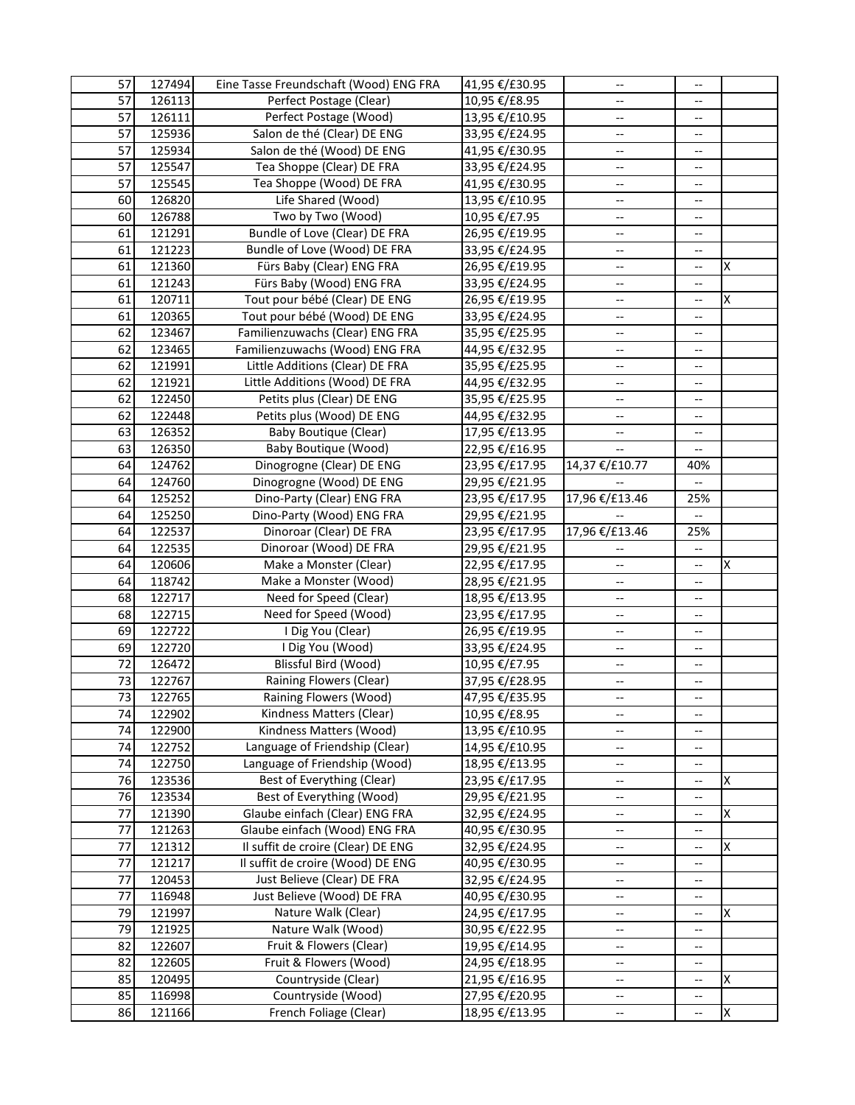| 57              | 127494           | Eine Tasse Freundschaft (Wood) ENG FRA                                  | 41,95 €/£30.95                   | $\overline{\phantom{a}}$          | $\overline{a}$           |   |
|-----------------|------------------|-------------------------------------------------------------------------|----------------------------------|-----------------------------------|--------------------------|---|
| $\overline{57}$ | 126113           | Perfect Postage (Clear)                                                 | 10,95 €/£8.95                    | $-$                               | $-$                      |   |
| $\overline{57}$ | 126111           | Perfect Postage (Wood)                                                  | 13,95 €/£10.95                   | --                                | --                       |   |
| 57              | 125936           | Salon de thé (Clear) DE ENG                                             | 33,95 €/£24.95                   | $-$                               | $-$                      |   |
| 57              | 125934           | Salon de thé (Wood) DE ENG                                              | 41,95 €/£30.95                   | --                                | --                       |   |
| 57              | 125547           | Tea Shoppe (Clear) DE FRA                                               | 33,95 €/£24.95                   | --                                | --                       |   |
| 57              | 125545           | Tea Shoppe (Wood) DE FRA                                                | 41,95 €/£30.95                   | --                                | --                       |   |
| 60              | 126820           | Life Shared (Wood)                                                      | 13,95 €/£10.95                   | --                                | --                       |   |
| 60              | 126788           | Two by Two (Wood)                                                       | 10,95 €/£7.95                    | --                                | --                       |   |
| 61              | 121291           | Bundle of Love (Clear) DE FRA                                           | 26,95 €/£19.95                   | --                                | --                       |   |
| 61              | 121223           | Bundle of Love (Wood) DE FRA                                            | 33,95 €/£24.95                   | --                                | --                       |   |
| 61              | 121360           | Fürs Baby (Clear) ENG FRA                                               | 26,95 €/£19.95                   | $\overline{\phantom{a}}$          | --                       | X |
| 61              | 121243           | Fürs Baby (Wood) ENG FRA                                                | 33,95 €/£24.95                   | $\overline{\phantom{a}}$          | --                       |   |
| 61              | 120711           | Tout pour bébé (Clear) DE ENG                                           | 26,95 €/£19.95                   | $\overline{\phantom{a}}$          | $\overline{a}$           | X |
| 61              | 120365           | Tout pour bébé (Wood) DE ENG                                            | 33,95 €/£24.95                   | $\overline{\phantom{a}}$          | --                       |   |
| 62              | 123467           | Familienzuwachs (Clear) ENG FRA                                         | 35,95 €/£25.95                   | --                                | --                       |   |
| 62              | 123465           | Familienzuwachs (Wood) ENG FRA                                          | 44,95 €/£32.95                   | $-$                               | $-$                      |   |
| 62              | 121991           | Little Additions (Clear) DE FRA                                         | 35,95 €/£25.95                   | $\overline{\phantom{a}}$          | $\overline{\phantom{a}}$ |   |
| 62              | 121921           | Little Additions (Wood) DE FRA                                          | 44,95 €/£32.95                   | $\overline{\phantom{a}}$          | --                       |   |
| 62              | 122450           | Petits plus (Clear) DE ENG                                              | 35,95 €/£25.95                   | --                                | --                       |   |
| 62              | 122448           | Petits plus (Wood) DE ENG                                               | 44,95 €/£32.95                   | $\overline{\phantom{a}}$          | $-$                      |   |
| 63              | 126352           | <b>Baby Boutique (Clear)</b>                                            | 17,95 €/£13.95                   | --                                | --                       |   |
| 63              | 126350           | Baby Boutique (Wood)                                                    | 22,95 €/£16.95                   |                                   | --                       |   |
| 64              | 124762           | Dinogrogne (Clear) DE ENG                                               | 23,95 €/£17.95                   | 14,37 €/£10.77                    | 40%                      |   |
| 64              | 124760           | Dinogrogne (Wood) DE ENG                                                | 29,95 €/£21.95                   |                                   |                          |   |
| 64              | 125252           | Dino-Party (Clear) ENG FRA                                              | 23,95 €/£17.95                   | 17,96 €/£13.46                    | 25%                      |   |
| 64              | 125250           | Dino-Party (Wood) ENG FRA                                               | 29,95 €/£21.95                   |                                   | Щ,                       |   |
| 64              | 122537           | Dinoroar (Clear) DE FRA                                                 | 23,95 €/£17.95                   | 17,96 €/£13.46                    | 25%                      |   |
| 64              | 122535           | Dinoroar (Wood) DE FRA                                                  | 29,95 €/£21.95                   |                                   | --                       |   |
| 64              | 120606           | Make a Monster (Clear)                                                  | 22,95 €/£17.95                   | --                                | --                       | X |
| 64              | 118742           | Make a Monster (Wood)                                                   | 28,95 €/£21.95                   | $-$                               | --                       |   |
| 68              | 122717           | Need for Speed (Clear)                                                  | 18,95 €/£13.95                   | --                                | --                       |   |
| 68              | 122715           | Need for Speed (Wood)                                                   | 23,95 €/£17.95                   | --                                | --                       |   |
| 69              | 122722           | I Dig You (Clear)                                                       | 26,95 €/£19.95                   | --                                | $-$                      |   |
| 69              | 122720           | I Dig You (Wood)                                                        | 33,95 €/£24.95                   | --                                | $\overline{\phantom{a}}$ |   |
| 72              | 126472           | Blissful Bird (Wood)                                                    | 10,95 €/£7.95                    | --                                | --                       |   |
| 73              | 122767           | Raining Flowers (Clear)                                                 | 37,95 €/£28.95                   | $\overline{\phantom{a}}$          | $\overline{\phantom{a}}$ |   |
| 73              | 122765           | Raining Flowers (Wood)                                                  | 47,95 €/£35.95                   | --                                |                          |   |
| 74              | 122902           | Kindness Matters (Clear)                                                | 10,95 €/£8.95                    | $\overline{\phantom{a}}$          | $\overline{\phantom{a}}$ |   |
| 74              | 122900           | Kindness Matters (Wood)                                                 | 13,95 €/£10.95                   | $\overline{\phantom{a}}$          | --                       |   |
| 74              | 122752           | Language of Friendship (Clear)                                          | 14,95 €/£10.95                   | --                                | $\overline{\phantom{a}}$ |   |
| 74              | 122750           | Language of Friendship (Wood)                                           | 18,95 €/£13.95                   | --                                | --                       |   |
| 76              | 123536           | Best of Everything (Clear)                                              | 23,95 €/£17.95                   | --                                | --                       | X |
| 76              | 123534           | Best of Everything (Wood)                                               | 29,95 €/£21.95                   | $\hspace{0.05cm} \dashrightarrow$ | --                       |   |
| 77              | 121390           | Glaube einfach (Clear) ENG FRA                                          | 32,95 €/£24.95                   | --                                | --                       | X |
| 77<br>77        | 121263<br>121312 | Glaube einfach (Wood) ENG FRA                                           | 40,95 €/£30.95                   | $\hspace{0.05cm} \dashrightarrow$ | --                       |   |
| 77              | 121217           | Il suffit de croire (Clear) DE ENG<br>Il suffit de croire (Wood) DE ENG | 32,95 €/£24.95                   | $\hspace{0.05cm} \dashrightarrow$ | --                       | Χ |
| 77              | 120453           | Just Believe (Clear) DE FRA                                             | 40,95 €/£30.95<br>32,95 €/£24.95 | --                                | --                       |   |
| 77              | 116948           | Just Believe (Wood) DE FRA                                              | 40,95 €/£30.95                   | --<br>$\overline{\phantom{a}}$    | ÷<br>--                  |   |
| 79              | 121997           | Nature Walk (Clear)                                                     | 24,95 €/£17.95                   | $\hspace{0.05cm} \dashrightarrow$ | $\overline{\phantom{a}}$ | X |
| 79              | 121925           | Nature Walk (Wood)                                                      | 30,95 €/£22.95                   | $\hspace{0.05cm} \dashrightarrow$ | --                       |   |
| 82              | 122607           | Fruit & Flowers (Clear)                                                 | 19,95 €/£14.95                   | $\hspace{0.05cm} \dashrightarrow$ | --                       |   |
| 82              | 122605           | Fruit & Flowers (Wood)                                                  | 24,95 €/£18.95                   | --                                | $-$                      |   |
| 85              | 120495           | Countryside (Clear)                                                     | 21,95 €/£16.95                   | --                                | --                       | X |
| 85              | 116998           | Countryside (Wood)                                                      | 27,95 €/£20.95                   | --                                | --                       |   |
| 86              | 121166           | French Foliage (Clear)                                                  | 18,95 €/£13.95                   | --                                | --                       | Χ |
|                 |                  |                                                                         |                                  |                                   |                          |   |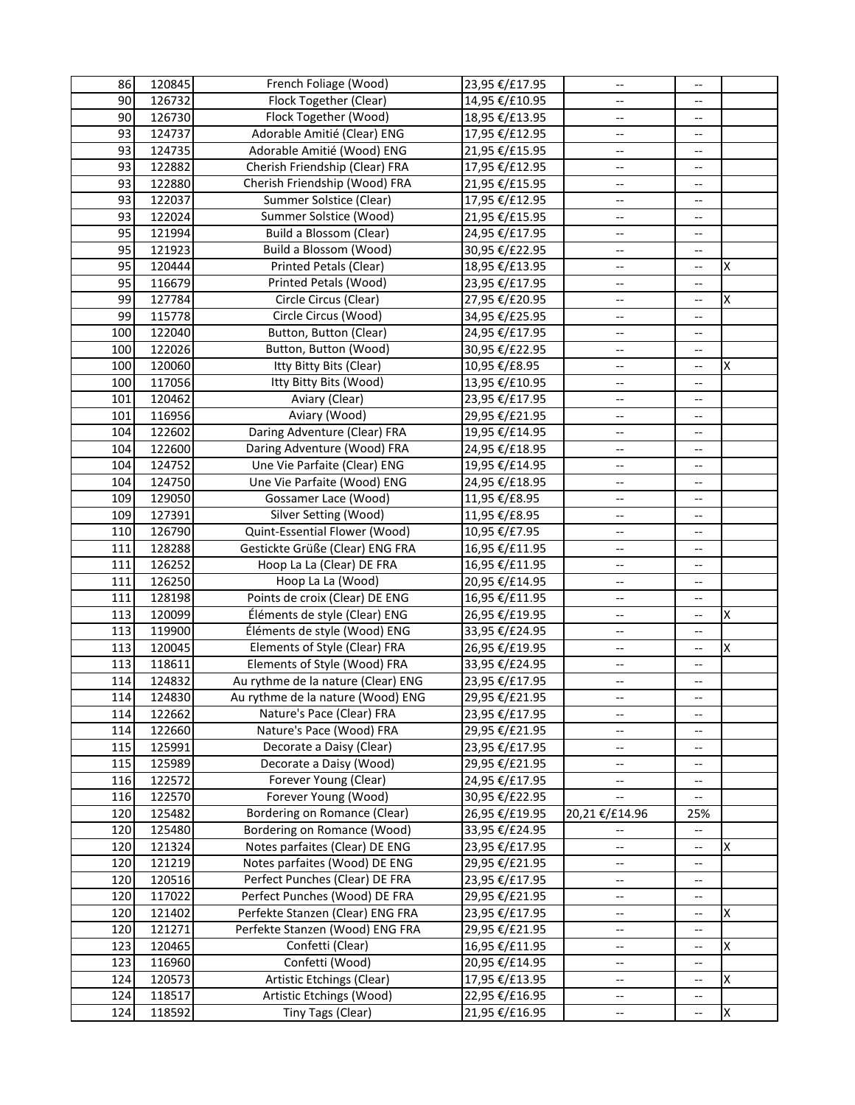| 86  | 120845 | French Foliage (Wood)                        | 23,95 €/£17.95 | $\overline{\phantom{a}}$                            | $-$                      |    |
|-----|--------|----------------------------------------------|----------------|-----------------------------------------------------|--------------------------|----|
| 90  | 126732 | Flock Together (Clear)                       | 14,95 €/£10.95 | $-$                                                 | $\overline{\phantom{a}}$ |    |
| 90  | 126730 | Flock Together (Wood)                        | 18,95 €/£13.95 | --                                                  | --                       |    |
| 93  | 124737 | Adorable Amitié (Clear) ENG                  | 17,95 €/£12.95 | $\overline{\phantom{m}}$                            | $-$                      |    |
| 93  | 124735 | Adorable Amitié (Wood) ENG                   | 21,95 €/£15.95 | $-$                                                 | --                       |    |
| 93  | 122882 | Cherish Friendship (Clear) FRA               | 17,95 €/£12.95 | --                                                  | --                       |    |
| 93  | 122880 | Cherish Friendship (Wood) FRA                | 21,95 €/£15.95 | $-$                                                 | --                       |    |
| 93  | 122037 | Summer Solstice (Clear)                      | 17,95 €/£12.95 | --                                                  | --                       |    |
| 93  | 122024 | Summer Solstice (Wood)                       | 21,95 €/£15.95 | --                                                  | --                       |    |
| 95  | 121994 | Build a Blossom (Clear)                      | 24,95 €/£17.95 | --                                                  | --                       |    |
| 95  | 121923 | Build a Blossom (Wood)                       | 30,95 €/£22.95 | $\overline{\phantom{a}}$                            | --                       |    |
| 95  | 120444 | Printed Petals (Clear)                       | 18,95 €/£13.95 | $\overline{\phantom{a}}$                            | $\overline{a}$           | Ιx |
| 95  | 116679 | Printed Petals (Wood)                        | 23,95 €/£17.95 | $\overline{\phantom{a}}$                            | --                       |    |
| 99  | 127784 | Circle Circus (Clear)                        | 27,95 €/£20.95 | $\overline{\phantom{a}}$                            | $\overline{a}$           | X  |
| 99  | 115778 | Circle Circus (Wood)                         | 34,95 €/£25.95 | $\overline{\phantom{m}}$                            | --                       |    |
| 100 | 122040 | Button, Button (Clear)                       | 24,95 €/£17.95 | --                                                  | --                       |    |
| 100 | 122026 | Button, Button (Wood)                        | 30,95 €/£22.95 | $\overline{\phantom{m}}$                            | $-$                      |    |
| 100 | 120060 | Itty Bitty Bits (Clear)                      | 10,95 €/£8.95  | $\overline{\phantom{a}}$                            | --                       | X  |
| 100 | 117056 | Itty Bitty Bits (Wood)                       | 13,95 €/£10.95 | $\overline{\phantom{a}}$                            | --                       |    |
| 101 | 120462 | Aviary (Clear)                               | 23,95 €/£17.95 | $\overline{\phantom{a}}$                            | --                       |    |
| 101 | 116956 | Aviary (Wood)                                | 29,95 €/£21.95 | --                                                  | $\overline{\phantom{a}}$ |    |
| 104 | 122602 | Daring Adventure (Clear) FRA                 | 19,95 €/£14.95 | $\overline{\phantom{a}}$                            | --                       |    |
| 104 | 122600 | Daring Adventure (Wood) FRA                  | 24,95 €/£18.95 | $\overline{\phantom{a}}$                            | --                       |    |
| 104 | 124752 | Une Vie Parfaite (Clear) ENG                 | 19,95 €/£14.95 | $\overline{\phantom{a}}$                            | --                       |    |
| 104 | 124750 | Une Vie Parfaite (Wood) ENG                  | 24,95 €/£18.95 | $\overline{\phantom{a}}$                            | $\overline{\phantom{a}}$ |    |
| 109 | 129050 | Gossamer Lace (Wood)                         | 11,95 €/£8.95  | $\overline{\phantom{a}}$                            | --                       |    |
| 109 | 127391 | <b>Silver Setting (Wood)</b>                 | 11,95 €/£8.95  | $\overline{\phantom{a}}$                            | ÷-                       |    |
| 110 | 126790 | Quint-Essential Flower (Wood)                | 10,95 €/£7.95  | $-$                                                 | $-$                      |    |
| 111 | 128288 | Gestickte Grüße (Clear) ENG FRA              | 16,95 €/£11.95 | --                                                  | --                       |    |
| 111 | 126252 | Hoop La La (Clear) DE FRA                    | 16,95 €/£11.95 | $\overline{\phantom{a}}$                            | $-$                      |    |
| 111 | 126250 | Hoop La La (Wood)                            | 20,95 €/£14.95 | $-$                                                 | $-$                      |    |
| 111 | 128198 | Points de croix (Clear) DE ENG               | 16,95 €/£11.95 | --                                                  | --                       |    |
| 113 | 120099 | Éléments de style (Clear) ENG                | 26,95 €/£19.95 | --                                                  | $-$                      | x  |
| 113 | 119900 | Éléments de style (Wood) ENG                 | 33,95 €/£24.95 | $\overline{\phantom{a}}$                            | $-$                      |    |
| 113 | 120045 | Elements of Style (Clear) FRA                | 26,95 €/£19.95 | --                                                  | --                       | Ιx |
| 113 | 118611 | Elements of Style (Wood) FRA                 | 33,95 €/£24.95 | --                                                  | --                       |    |
| 114 | 124832 | Au rythme de la nature (Clear) ENG           | 23,95 €/£17.95 | $\overline{\phantom{a}}$                            | $\overline{\phantom{a}}$ |    |
| 114 | 124830 | Au rythme de la nature (Wood) ENG            | 29,95 €/£21.95 | --                                                  | --                       |    |
| 114 | 122662 | Nature's Pace (Clear) FRA                    | 23,95 €/£17.95 | $\overline{\phantom{a}}$                            | $\overline{\phantom{a}}$ |    |
| 114 | 122660 | Nature's Pace (Wood) FRA                     | 29,95 €/£21.95 | --                                                  | $\overline{\phantom{m}}$ |    |
| 115 | 125991 | Decorate a Daisy (Clear)                     | 23,95 €/£17.95 | $\hspace{0.05cm} -\hspace{0.05cm} -\hspace{0.05cm}$ | $\overline{\phantom{a}}$ |    |
| 115 | 125989 | Decorate a Daisy (Wood)                      | 29,95 €/£21.95 | $\overline{\phantom{a}}$                            | $\overline{\phantom{a}}$ |    |
| 116 | 122572 | Forever Young (Clear)                        | 24,95 €/£17.95 | --                                                  | $\hspace{0.05cm} \dashv$ |    |
| 116 | 122570 | Forever Young (Wood)                         | 30,95 €/£22.95 | $\overline{\phantom{a}}$                            | --                       |    |
| 120 | 125482 | Bordering on Romance (Clear)                 | 26,95 €/£19.95 | 20,21 €/£14.96                                      | 25%                      |    |
| 120 | 125480 | Bordering on Romance (Wood)                  | 33,95 €/£24.95 | --                                                  | $\overline{\phantom{a}}$ |    |
| 120 | 121324 | Notes parfaites (Clear) DE ENG               | 23,95 €/£17.95 | --                                                  | $\overline{\phantom{a}}$ | X  |
| 120 | 121219 | Notes parfaites (Wood) DE ENG                | 29,95 €/£21.95 | --                                                  | --                       |    |
| 120 | 120516 | Perfect Punches (Clear) DE FRA               | 23,95 €/£17.95 | --                                                  | --                       |    |
| 120 | 117022 | Perfect Punches (Wood) DE FRA                | 29,95 €/£21.95 | --                                                  | --                       |    |
| 120 | 121402 | Perfekte Stanzen (Clear) ENG FRA             | 23,95 €/£17.95 | $\hspace{0.05cm} \dashrightarrow$                   | $\overline{\phantom{a}}$ | X  |
| 120 | 121271 | Perfekte Stanzen (Wood) ENG FRA              | 29,95 €/£21.95 | $\hspace{0.05cm} \dashrightarrow$                   | --                       |    |
| 123 | 120465 | Confetti (Clear)                             | 16,95 €/£11.95 | $\hspace{0.05cm} \dashrightarrow$                   | --                       | X  |
| 123 | 116960 | Confetti (Wood)<br>Artistic Etchings (Clear) | 20,95 €/£14.95 | $\hspace{0.05cm} -\hspace{0.05cm} -\hspace{0.05cm}$ | $-$                      | X  |
| 124 | 120573 | Artistic Etchings (Wood)                     | 17,95 €/£13.95 | $\hspace{0.05cm} -\hspace{0.05cm} -\hspace{0.05cm}$ | --                       |    |
| 124 | 118517 |                                              | 22,95 €/£16.95 | --                                                  | --                       |    |
| 124 | 118592 | Tiny Tags (Clear)                            | 21,95 €/£16.95 | $\hspace{0.05cm} -\hspace{0.05cm} -\hspace{0.05cm}$ | --                       | X  |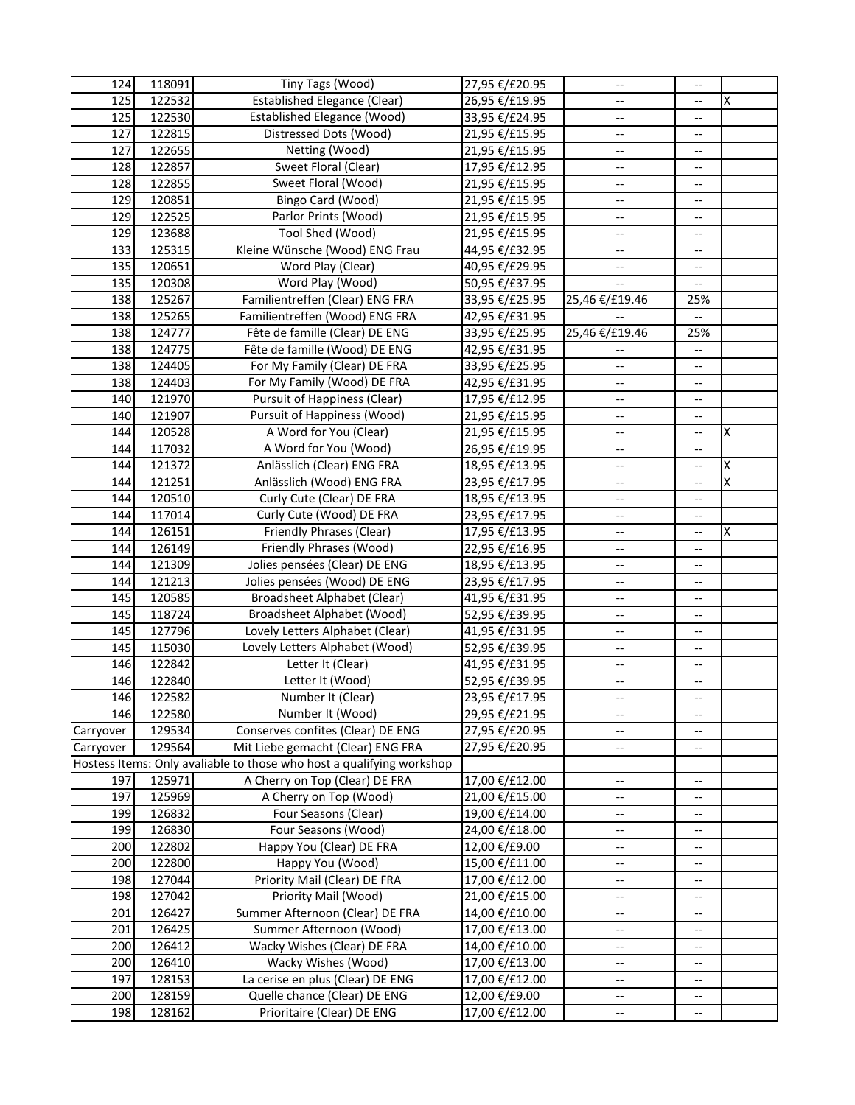| 124       | 118091 | Tiny Tags (Wood)                                                      | 27,95 €/£20.95 | $\overline{\phantom{a}}$                            | $-$                      |   |
|-----------|--------|-----------------------------------------------------------------------|----------------|-----------------------------------------------------|--------------------------|---|
| 125       | 122532 | <b>Established Elegance (Clear)</b>                                   | 26,95 €/£19.95 |                                                     | --                       | X |
| 125       | 122530 | <b>Established Elegance (Wood)</b>                                    | 33,95 €/£24.95 | --                                                  | --                       |   |
| 127       | 122815 | Distressed Dots (Wood)                                                | 21,95 €/£15.95 | $-$                                                 | --                       |   |
| 127       | 122655 | Netting (Wood)                                                        | 21,95 €/£15.95 | --                                                  | --                       |   |
| 128       | 122857 | Sweet Floral (Clear)                                                  | 17,95 €/£12.95 | --                                                  | --                       |   |
| 128       | 122855 | Sweet Floral (Wood)                                                   | 21,95 €/£15.95 | $-\hbox{--}$                                        | --                       |   |
| 129       | 120851 | Bingo Card (Wood)                                                     | 21,95 €/£15.95 | $\hspace{0.05cm} -\hspace{0.05cm} -\hspace{0.05cm}$ | --                       |   |
| 129       | 122525 | Parlor Prints (Wood)                                                  | 21,95 €/£15.95 | $\overline{\phantom{a}}$                            | --                       |   |
| 129       | 123688 | Tool Shed (Wood)                                                      | 21,95 €/£15.95 | $\overline{a}$                                      | $-$                      |   |
| 133       | 125315 | Kleine Wünsche (Wood) ENG Frau                                        | 44,95 €/£32.95 | $\overline{\phantom{a}}$                            | --                       |   |
| 135       | 120651 | Word Play (Clear)                                                     | 40,95 €/£29.95 | --                                                  | --                       |   |
| 135       | 120308 | Word Play (Wood)                                                      | 50,95 €/£37.95 |                                                     |                          |   |
| 138       | 125267 | Familientreffen (Clear) ENG FRA                                       | 33,95 €/£25.95 | 25,46 €/£19.46                                      | 25%                      |   |
| 138       | 125265 | Familientreffen (Wood) ENG FRA                                        | 42,95 €/£31.95 |                                                     |                          |   |
| 138       | 124777 | Fête de famille (Clear) DE ENG                                        | 33,95 €/£25.95 | 25,46 €/£19.46                                      | 25%                      |   |
| 138       | 124775 | Fête de famille (Wood) DE ENG                                         | 42,95 €/£31.95 |                                                     | $\overline{\phantom{a}}$ |   |
| 138       | 124405 | For My Family (Clear) DE FRA                                          | 33,95 €/£25.95 | $\overline{\phantom{a}}$                            | --                       |   |
| 138       | 124403 | For My Family (Wood) DE FRA                                           | 42,95 €/£31.95 | $\overline{\phantom{a}}$                            | --                       |   |
| 140       | 121970 | <b>Pursuit of Happiness (Clear)</b>                                   | 17,95 €/£12.95 | $\overline{a}$                                      | $\overline{\phantom{a}}$ |   |
| 140       | 121907 | <b>Pursuit of Happiness (Wood)</b>                                    | 21,95 €/£15.95 | $\overline{\phantom{a}}$                            | --                       |   |
| 144       | 120528 | A Word for You (Clear)                                                | 21,95 €/£15.95 | $\overline{\phantom{a}}$                            | $\overline{\phantom{a}}$ | X |
| 144       | 117032 | A Word for You (Wood)                                                 | 26,95 €/£19.95 | u.                                                  | --                       |   |
| 144       | 121372 | Anlässlich (Clear) ENG FRA                                            | 18,95 €/£13.95 | $\overline{\phantom{a}}$                            | --                       | X |
| 144       | 121251 | Anlässlich (Wood) ENG FRA                                             | 23,95 €/£17.95 | --                                                  | --                       | X |
| 144       | 120510 | Curly Cute (Clear) DE FRA                                             | 18,95 €/£13.95 | --                                                  | $\overline{\phantom{a}}$ |   |
| 144       | 117014 | Curly Cute (Wood) DE FRA                                              | 23,95 €/£17.95 | --                                                  | --                       |   |
| 144       | 126151 | Friendly Phrases (Clear)                                              | 17,95 €/£13.95 | --                                                  | $-$                      | X |
| 144       | 126149 | Friendly Phrases (Wood)                                               | 22,95 €/£16.95 | --                                                  | --                       |   |
| 144       | 121309 | Jolies pensées (Clear) DE ENG                                         | 18,95 €/£13.95 | $\overline{\phantom{m}}$                            | $-$                      |   |
| 144       | 121213 | Jolies pensées (Wood) DE ENG                                          | 23,95 €/£17.95 | $\overline{\phantom{a}}$                            | $-$                      |   |
| 145       | 120585 | Broadsheet Alphabet (Clear)                                           | 41,95 €/£31.95 | --                                                  | --                       |   |
| 145       | 118724 | Broadsheet Alphabet (Wood)                                            | 52,95 €/£39.95 | $\overline{\phantom{a}}$                            | $\overline{\phantom{a}}$ |   |
| 145       | 127796 | Lovely Letters Alphabet (Clear)                                       | 41,95 €/£31.95 | $\overline{\phantom{a}}$                            | $\overline{\phantom{a}}$ |   |
| 145       | 115030 | Lovely Letters Alphabet (Wood)                                        | 52,95 €/£39.95 | $\overline{\phantom{a}}$                            | $\overline{\phantom{a}}$ |   |
| 146       | 122842 | Letter It (Clear)                                                     | 41,95 €/£31.95 | $\overline{\phantom{a}}$                            | --                       |   |
| 146       | 122840 | Letter It (Wood)                                                      | 52,95 €/£39.95 | $\overline{\phantom{a}}$                            | --                       |   |
| 146       | 122582 | Number It (Clear)                                                     | 23,95 €/£17.95 | --                                                  | --                       |   |
| 146       | 122580 | Number It (Wood)                                                      | 29,95 €/£21.95 | $\overline{\phantom{a}}$                            | --                       |   |
| Carryover | 129534 | Conserves confites (Clear) DE ENG                                     | 27,95 €/£20.95 | $\overline{\phantom{a}}$                            | --                       |   |
| Carryover | 129564 | Mit Liebe gemacht (Clear) ENG FRA                                     | 27,95 €/£20.95 | --                                                  | --                       |   |
|           |        | Hostess Items: Only avaliable to those who host a qualifying workshop |                |                                                     |                          |   |
| 197       | 125971 | A Cherry on Top (Clear) DE FRA                                        | 17,00 €/£12.00 | --                                                  | $-\, -$                  |   |
| 197       | 125969 | A Cherry on Top (Wood)                                                | 21,00 €/£15.00 | --                                                  | --                       |   |
| 199       | 126832 | Four Seasons (Clear)                                                  | 19,00 €/£14.00 | ÷                                                   | ÷                        |   |
| 199       | 126830 | Four Seasons (Wood)                                                   | 24,00 €/£18.00 | $\overline{\phantom{a}}$                            | --                       |   |
| 200       | 122802 | Happy You (Clear) DE FRA                                              | 12,00 €/£9.00  | $\overline{\phantom{a}}$                            | $\overline{\phantom{a}}$ |   |
| 200       | 122800 | Happy You (Wood)                                                      | 15,00 €/£11.00 | $\overline{\phantom{a}}$                            | $\overline{\phantom{a}}$ |   |
| 198       | 127044 | Priority Mail (Clear) DE FRA                                          | 17,00 €/£12.00 | $\overline{\phantom{a}}$                            | --                       |   |
| 198       | 127042 | Priority Mail (Wood)                                                  | 21,00 €/£15.00 | $\hspace{0.05cm} \dashrightarrow$                   | $-$                      |   |
| 201       | 126427 | Summer Afternoon (Clear) DE FRA                                       | 14,00 €/£10.00 | $\hspace{0.05cm} -\hspace{0.05cm} -\hspace{0.05cm}$ | --                       |   |
| 201       | 126425 | Summer Afternoon (Wood)                                               | 17,00 €/£13.00 | --                                                  | --                       |   |
| 200       | 126412 | Wacky Wishes (Clear) DE FRA                                           | 14,00 €/£10.00 | $\hspace{0.05cm} -\hspace{0.05cm} -\hspace{0.05cm}$ | --                       |   |
| 200       | 126410 | Wacky Wishes (Wood)                                                   | 17,00 €/£13.00 | --                                                  | --                       |   |
| 197       | 128153 | La cerise en plus (Clear) DE ENG                                      | 17,00 €/£12.00 | --                                                  | --                       |   |
| 200       | 128159 | Quelle chance (Clear) DE ENG                                          | 12,00 €/£9.00  | --                                                  | --                       |   |
| 198       | 128162 | Prioritaire (Clear) DE ENG                                            | 17,00 €/£12.00 | $\hspace{0.05cm}$ – $\hspace{0.05cm}$               | --                       |   |